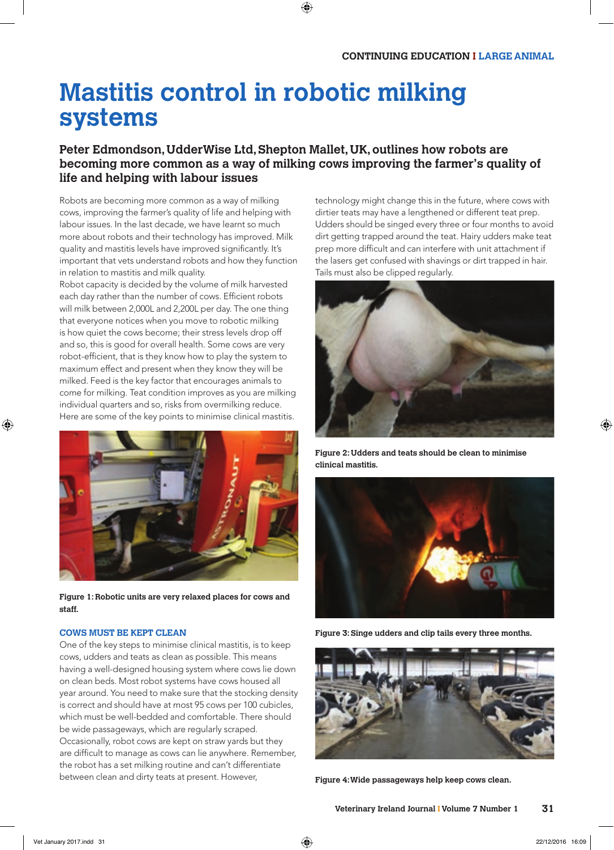# **Mastitis control in robotic milking systems**

# **Peter Edmondson, UdderWise Ltd, Shepton Mallet, UK, outlines how robots are becoming more common as a way of milking cows improving the farmer's quality of life and helping with labour issues**

Robots are becoming more common as a way of milking cows, improving the farmer's quality of life and helping with labour issues. In the last decade, we have learnt so much more about robots and their technology has improved. Milk quality and mastitis levels have improved significantly. It's important that vets understand robots and how they function in relation to mastitis and milk quality.

Robot capacity is decided by the volume of milk harvested each day rather than the number of cows. Efficient robots will milk between 2,000L and 2,200L per day. The one thing that everyone notices when you move to robotic milking is how quiet the cows become; their stress levels drop off and so, this is good for overall health. Some cows are very robot-efficient, that is they know how to play the system to maximum effect and present when they know they will be milked. Feed is the key factor that encourages animals to come for milking. Teat condition improves as you are milking individual quarters and so, risks from overmilking reduce. Here are some of the key points to minimise clinical mastitis.



**Figure 1: Robotic units are very relaxed places for cows and staff.**

#### **COWS MUST BE KEPT CLEAN**

One of the key steps to minimise clinical mastitis, is to keep cows, udders and teats as clean as possible. This means having a well-designed housing system where cows lie down on clean beds. Most robot systems have cows housed all year around. You need to make sure that the stocking density is correct and should have at most 95 cows per 100 cubicles, which must be well-bedded and comfortable. There should be wide passageways, which are regularly scraped. Occasionally, robot cows are kept on straw yards but they are difficult to manage as cows can lie anywhere. Remember, the robot has a set milking routine and can't differentiate between clean and dirty teats at present. However,

technology might change this in the future, where cows with dirtier teats may have a lengthened or different teat prep. Udders should be singed every three or four months to avoid dirt getting trapped around the teat. Hairy udders make teat prep more difficult and can interfere with unit attachment if the lasers get confused with shavings or dirt trapped in hair. Tails must also be clipped regularly.



**Figure 2: Udders and teats should be clean to minimise clinical mastitis.**



**Figure 3: Singe udders and clip tails every three months.**



**Figure 4: Wide passageways help keep cows clean.**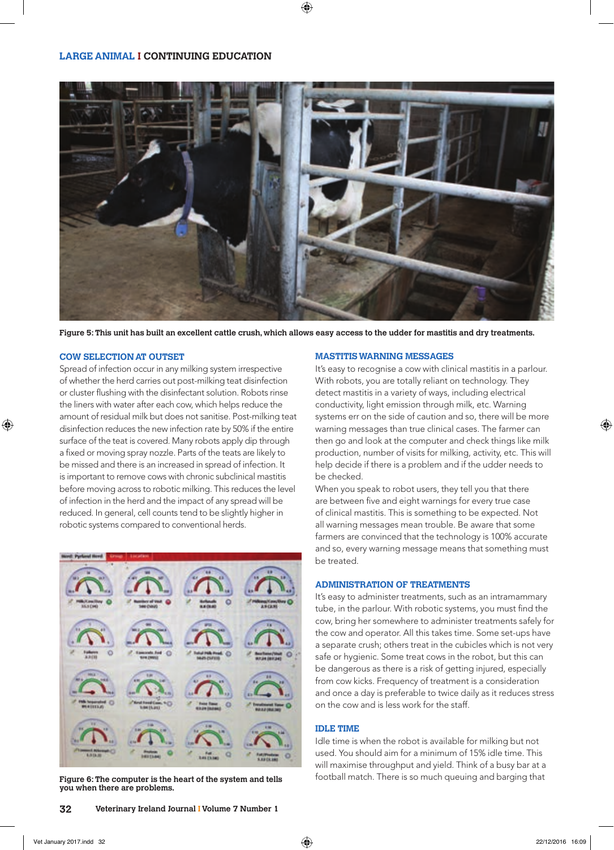

**Figure 5: This unit has built an excellent cattle crush, which allows easy access to the udder for mastitis and dry treatments.**

#### **COW SELECTION AT OUTSET**

Spread of infection occur in any milking system irrespective of whether the herd carries out post-milking teat disinfection or cluster flushing with the disinfectant solution. Robots rinse the liners with water after each cow, which helps reduce the amount of residual milk but does not sanitise. Post-milking teat disinfection reduces the new infection rate by 50% if the entire surface of the teat is covered. Many robots apply dip through a fixed or moving spray nozzle. Parts of the teats are likely to be missed and there is an increased in spread of infection. It is important to remove cows with chronic subclinical mastitis before moving across to robotic milking. This reduces the level of infection in the herd and the impact of any spread will be reduced. In general, cell counts tend to be slightly higher in robotic systems compared to conventional herds.



**you when there are problems.**

#### **MASTITIS WARNING MESSAGES**

It's easy to recognise a cow with clinical mastitis in a parlour. With robots, you are totally reliant on technology. They detect mastitis in a variety of ways, including electrical conductivity, light emission through milk, etc. Warning systems err on the side of caution and so, there will be more warning messages than true clinical cases. The farmer can then go and look at the computer and check things like milk production, number of visits for milking, activity, etc. This will help decide if there is a problem and if the udder needs to be checked.

When you speak to robot users, they tell you that there are between five and eight warnings for every true case of clinical mastitis. This is something to be expected. Not all warning messages mean trouble. Be aware that some farmers are convinced that the technology is 100% accurate and so, every warning message means that something must be treated.

#### **ADMINISTRATION OF TREATMENTS**

It's easy to administer treatments, such as an intramammary tube, in the parlour. With robotic systems, you must find the cow, bring her somewhere to administer treatments safely for the cow and operator. All this takes time. Some set-ups have a separate crush; others treat in the cubicles which is not very safe or hygienic. Some treat cows in the robot, but this can be dangerous as there is a risk of getting injured, especially from cow kicks. Frequency of treatment is a consideration and once a day is preferable to twice daily as it reduces stress on the cow and is less work for the staff.

#### **IDLE TIME**

Idle time is when the robot is available for milking but not used. You should aim for a minimum of 15% idle time. This will maximise throughput and yield. Think of a busy bar at a Figure 6: The computer is the heart of the system and tells **football match. There is so much queuing and barging that**